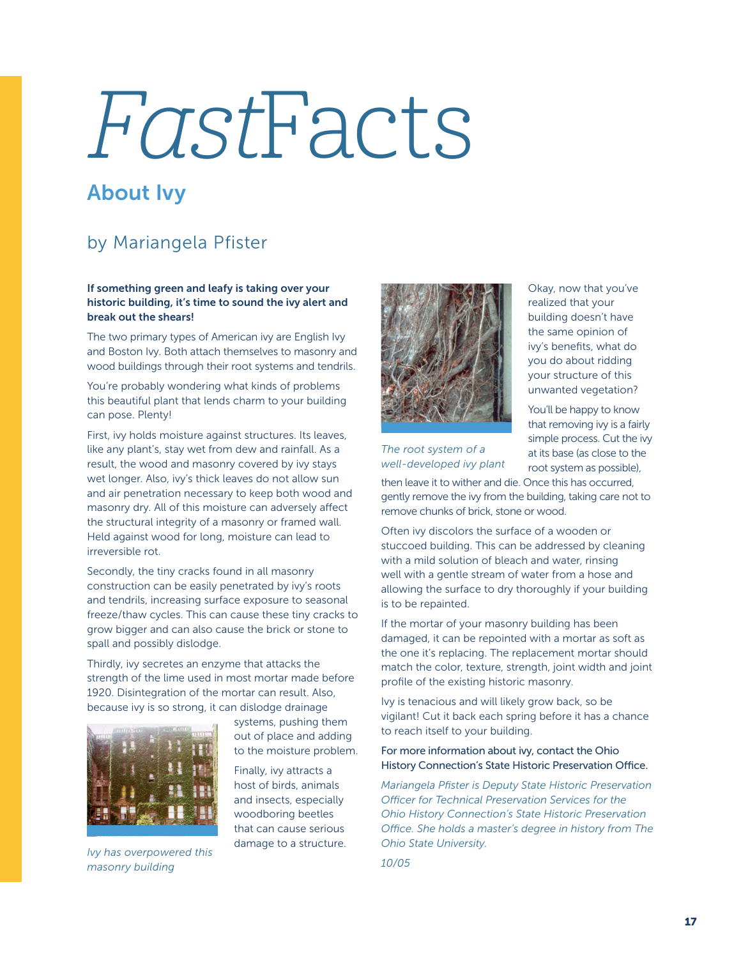# FastFacts

## About Ivy

## by Mariangela Pfister

### If something green and leafy is taking over your historic building, it's time to sound the ivy alert and break out the shears!

The two primary types of American ivy are English Ivy and Boston Ivy. Both attach themselves to masonry and wood buildings through their root systems and tendrils.

You're probably wondering what kinds of problems this beautiful plant that lends charm to your building can pose. Plenty!

First, ivy holds moisture against structures. Its leaves, like any plant's, stay wet from dew and rainfall. As a result, the wood and masonry covered by ivy stays wet longer. Also, ivy's thick leaves do not allow sun and air penetration necessary to keep both wood and masonry dry. All of this moisture can adversely affect the structural integrity of a masonry or framed wall. Held against wood for long, moisture can lead to irreversible rot.

Secondly, the tiny cracks found in all masonry construction can be easily penetrated by ivy's roots and tendrils, increasing surface exposure to seasonal freeze/thaw cycles. This can cause these tiny cracks to grow bigger and can also cause the brick or stone to spall and possibly dislodge.

Thirdly, ivy secretes an enzyme that attacks the strength of the lime used in most mortar made before 1920. Disintegration of the mortar can result. Also, because ivy is so strong, it can dislodge drainage



*Ivy has overpowered this masonry building*

systems, pushing them out of place and adding to the moisture problem.

Finally, ivy attracts a host of birds, animals and insects, especially woodboring beetles that can cause serious damage to a structure.



Okay, now that you've realized that your building doesn't have the same opinion of ivy's benefits, what do you do about ridding your structure of this unwanted vegetation?

You'll be happy to know that removing ivy is a fairly simple process. Cut the ivy at its base (as close to the root system as possible),

*The root system of a well-developed ivy plant*

then leave it to wither and die. Once this has occurred, gently remove the ivy from the building, taking care not to remove chunks of brick, stone or wood.

Often ivy discolors the surface of a wooden or stuccoed building. This can be addressed by cleaning with a mild solution of bleach and water, rinsing well with a gentle stream of water from a hose and allowing the surface to dry thoroughly if your building is to be repainted.

If the mortar of your masonry building has been damaged, it can be repointed with a mortar as soft as the one it's replacing. The replacement mortar should match the color, texture, strength, joint width and joint profile of the existing historic masonry.

Ivy is tenacious and will likely grow back, so be vigilant! Cut it back each spring before it has a chance to reach itself to your building.

### For more information about ivy, contact the Ohio History Connection's State Historic Preservation Office.

*Mariangela Pfister is Deputy State Historic Preservation Officer for Technical Preservation Services for the Ohio History Connection's State Historic Preservation Office. She holds a master's degree in history from The Ohio State University.* 

*10/05*